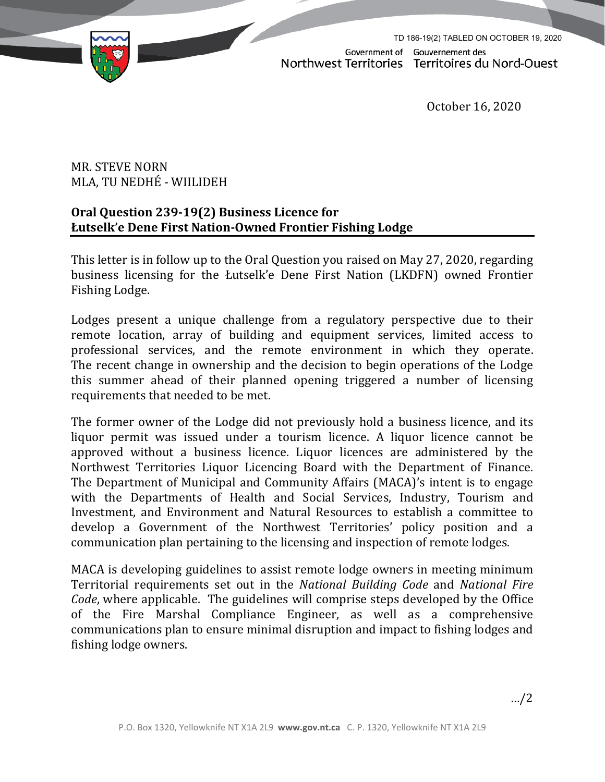

Government of Gouvernement des Northwest Territories Territoires du Nord-Ouest

TD 186-19(2) TABLED ON OCTOBER 19, 2020

October 16, 2020

## MR. STEVE NORN MLA, TU NEDHÉ - WIILIDEH

## **Oral Question 239‐19(2) Business Licence for Łutselk'e Dene First Nation-Owned Frontier Fishing Lodge**

This letter is in follow up to the Oral Question you raised on May 27, 2020, regarding business licensing for the Łutselk'e Dene First Nation (LKDFN) owned Frontier Fishing Lodge.

Lodges present a unique challenge from a regulatory perspective due to their remote location, array of building and equipment services, limited access to professional services, and the remote environment in which they operate. The recent change in ownership and the decision to begin operations of the Lodge this summer ahead of their planned opening triggered a number of licensing requirements that needed to be met.

The former owner of the Lodge did not previously hold a business licence, and its liquor permit was issued under a tourism licence. A liquor licence cannot be approved without a business licence. Liquor licences are administered by the Northwest Territories Liquor Licencing Board with the Department of Finance. The Department of Municipal and Community Affairs (MACA)'s intent is to engage with the Departments of Health and Social Services, Industry, Tourism and Investment, and Environment and Natural Resources to establish a committee to develop a Government of the Northwest Territories' policy position and a communication plan pertaining to the licensing and inspection of remote lodges.

MACA is developing guidelines to assist remote lodge owners in meeting minimum Territorial requirements set out in the *National Building Code* and *National Fire Code*, where applicable.The guidelines will comprise steps developed by the Office of the Fire Marshal Compliance Engineer, as well as a comprehensive communications plan to ensure minimal disruption and impact to fishing lodges and fishing lodge owners.